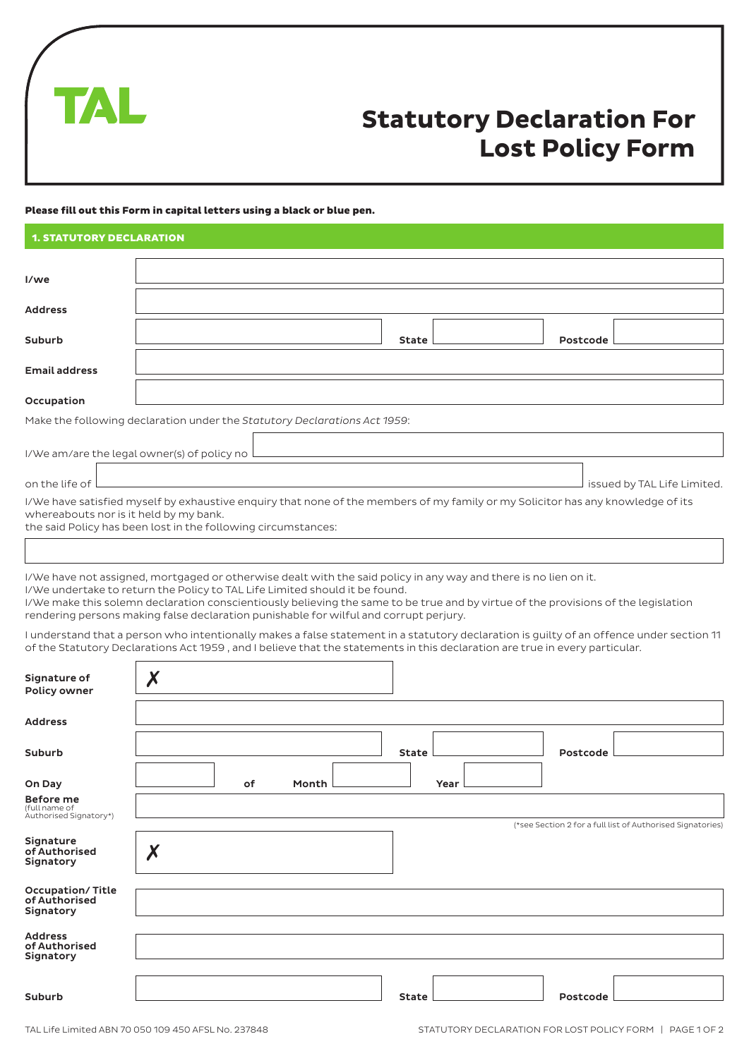

# **Statutory Declaration For Lost Policy Form**

#### Please fill out this Form in capital letters using a black or blue pen.

| <b>1. STATUTORY DECLARATION</b>        |                                                                                                                                                                                                  |                             |
|----------------------------------------|--------------------------------------------------------------------------------------------------------------------------------------------------------------------------------------------------|-----------------------------|
| I/we                                   |                                                                                                                                                                                                  |                             |
| <b>Address</b>                         |                                                                                                                                                                                                  |                             |
| Suburb                                 | State l                                                                                                                                                                                          | Postcode                    |
| <b>Email address</b>                   |                                                                                                                                                                                                  |                             |
| Occupation                             |                                                                                                                                                                                                  |                             |
|                                        | Make the following declaration under the Statutory Declarations Act 1959:                                                                                                                        |                             |
|                                        | I/We am/are the legal owner(s) of policy no Letter and the content of the content of the content of the content                                                                                  |                             |
|                                        | on the life of <u>December 2008</u>                                                                                                                                                              | issued by TAL Life Limited. |
| whereabouts nor is it held by my bank. | I/We have satisfied myself by exhaustive enguiry that none of the members of my family or my Solicitor has any knowledge of its<br>the said Policy has been lost in the following circumstances: |                             |
|                                        |                                                                                                                                                                                                  |                             |
|                                        | I/We have not assigned, mortgaged or otherwise dealt with the said policy in any way and there is no lien on it.                                                                                 |                             |

I/We undertake to return the Policy to TAL Life Limited should it be found. I/We make this solemn declaration conscientiously believing the same to be true and by virtue of the provisions of the legislation

rendering persons making false declaration punishable for wilful and corrupt perjury.

I understand that a person who intentionally makes a false statement in a statutory declaration is guilty of an offence under section 11 of the Statutory Declarations Act 1959 , and I believe that the statements in this declaration are true in every particular.

| Signature of<br>Policy owner                                | $\boldsymbol{X}$ |    |       |              |          |                                                            |
|-------------------------------------------------------------|------------------|----|-------|--------------|----------|------------------------------------------------------------|
| <b>Address</b>                                              |                  |    |       |              |          |                                                            |
| <b>Suburb</b>                                               |                  |    |       | <b>State</b> | Postcode |                                                            |
| On Day                                                      |                  | of | Month | Year         |          |                                                            |
| <b>Before me</b><br>(full name of<br>Authorised Signatory*) |                  |    |       |              |          |                                                            |
| Signature<br>of Authorised<br>Signatory                     | $\boldsymbol{X}$ |    |       |              |          | (*see Section 2 for a full list of Authorised Signatories) |
| <b>Occupation/Title</b><br>of Authorised<br>Signatory       |                  |    |       |              |          |                                                            |
| <b>Address</b><br>of Authorised<br>Signatory                |                  |    |       |              |          |                                                            |
| <b>Suburb</b>                                               |                  |    |       | State        | Postcode |                                                            |